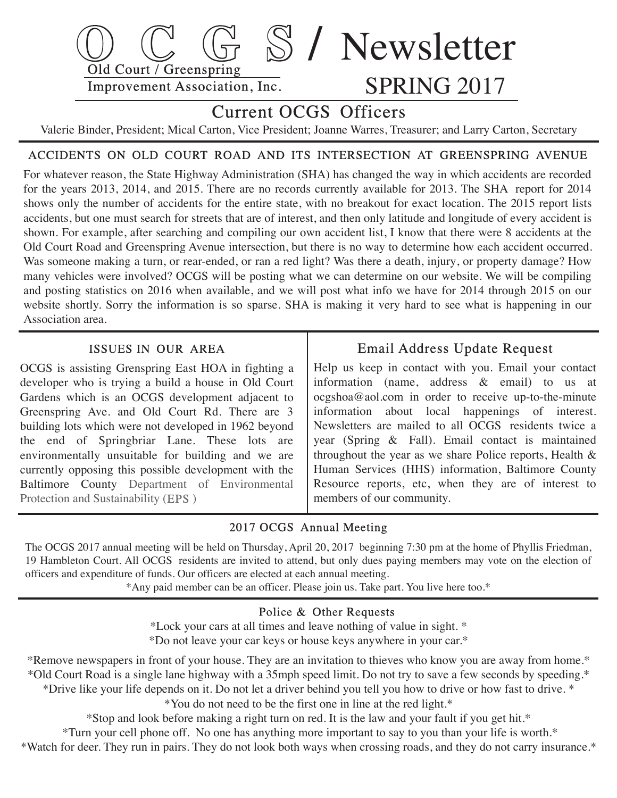

# Current OCGS Officers

Valerie Binder, President; Mical Carton, Vice President; Joanne Warres, Treasurer; and Larry Carton, Secretary

# ACCIDENTS ON OLD COURT ROAD AND ITS INTERSECTION AT GREENSPRING AVENUE

For whatever reason, the State Highway Administration (SHA) has changed the way in which accidents are recorded for the years 2013, 2014, and 2015. There are no records currently available for 2013. The SHA report for 2014 shows only the number of accidents for the entire state, with no breakout for exact location. The 2015 report lists accidents, but one must search for streets that are of interest, and then only latitude and longitude of every accident is shown. For example, after searching and compiling our own accident list, I know that there were 8 accidents at the Old Court Road and Greenspring Avenue intersection, but there is no way to determine how each accident occurred. Was someone making a turn, or rear-ended, or ran a red light? Was there a death, injury, or property damage? How many vehicles were involved? OCGS will be posting what we can determine on our website. We will be compiling and posting statistics on 2016 when available, and we will post what info we have for 2014 through 2015 on our website shortly. Sorry the information is so sparse. SHA is making it very hard to see what is happening in our Association area.

## ISSUES IN OUR AREA

 OCGS is assisting Grenspring East HOA in fighting a developer who is trying a build a house in Old Court Gardens which is an OCGS development adjacent to Greenspring Ave. and Old Court Rd. There are 3 building lots which were not developed in 1962 beyond the end of Springbriar Lane. These lots are environmentally unsuitable for building and we are currently opposing this possible development with the Baltimore County Department of Environmental Protection and Sustainability (EPS)

# Email Address Update Request

 Help us keep in contact with you. Email your contact information (name, address & email) to us at ocgshoa@aol.com in order to receive up-to-the-minute information about local happenings of interest. Newsletters are mailed to all OCGS residents twice a year (Spring & Fall). Email contact is maintained throughout the year as we share Police reports, Health & Human Services (HHS) information, Baltimore County Resource reports, etc, when they are of interest to members of our community.

## 2017 OCGS Annual Meeting

 The OCGS 2017 annual meeting will be held on Thursday, April 20, 2017 beginning 7:30 pm at the home of Phyllis Friedman, 19 Hambleton Court. All OCGS residents are invited to attend, but only dues paying members may vote on the election of officers and expenditure of funds. Our officers are elected at each annual meeting.

\*Any paid member can be an officer. Please join us. Take part. You live here too.\*

### Police & Other Requests

 \*Lock your cars at all times and leave nothing of value in sight. \* \*Do not leave your car keys or house keys anywhere in your car.\*

\*Remove newspapers in front of your house. They are an invitation to thieves who know you are away from home.\* \*Old Court Road is a single lane highway with a 35mph speed limit. Do not try to save a few seconds by speeding.\* \*Drive like your life depends on it. Do not let a driver behind you tell you how to drive or how fast to drive. \* \*You do not need to be the first one in line at the red light.\*

\*Stop and look before making a right turn on red. It is the law and your fault if you get hit.\*

\*Turn your cell phone off. No one has anything more important to say to you than your life is worth.\*

\*Watch for deer. They run in pairs. They do not look both ways when crossing roads, and they do not carry insurance.\*